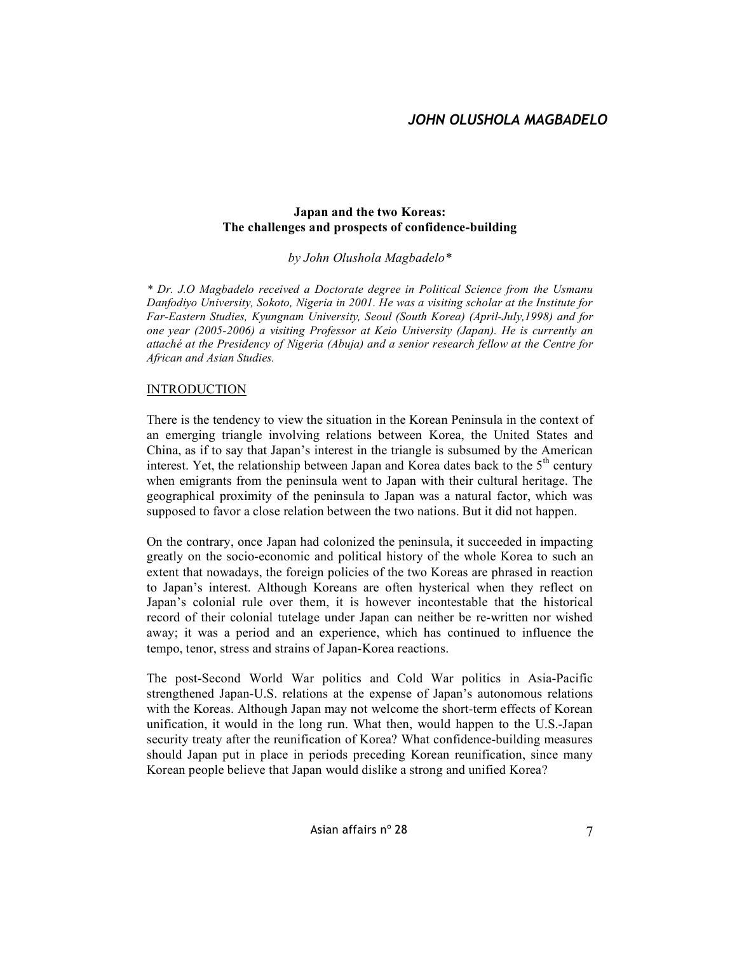### **Japan and the two Koreas: The challenges and prospects of confidence-building**

*by John Olushola Magbadelo\**

*\* Dr. J.O Magbadelo received a Doctorate degree in Political Science from the Usmanu Danfodiyo University, Sokoto, Nigeria in 2001. He was a visiting scholar at the Institute for Far-Eastern Studies, Kyungnam University, Seoul (South Korea) (April-July,1998) and for one year (2005-2006) a visiting Professor at Keio University (Japan). He is currently an attaché at the Presidency of Nigeria (Abuja) and a senior research fellow at the Centre for African and Asian Studies.*

### **INTRODUCTION**

There is the tendency to view the situation in the Korean Peninsula in the context of an emerging triangle involving relations between Korea, the United States and China, as if to say that Japan's interest in the triangle is subsumed by the American interest. Yet, the relationship between Japan and Korea dates back to the  $5<sup>th</sup>$  century when emigrants from the peninsula went to Japan with their cultural heritage. The geographical proximity of the peninsula to Japan was a natural factor, which was supposed to favor a close relation between the two nations. But it did not happen.

On the contrary, once Japan had colonized the peninsula, it succeeded in impacting greatly on the socio-economic and political history of the whole Korea to such an extent that nowadays, the foreign policies of the two Koreas are phrased in reaction to Japan's interest. Although Koreans are often hysterical when they reflect on Japan's colonial rule over them, it is however incontestable that the historical record of their colonial tutelage under Japan can neither be re-written nor wished away; it was a period and an experience, which has continued to influence the tempo, tenor, stress and strains of Japan-Korea reactions.

The post-Second World War politics and Cold War politics in Asia-Pacific strengthened Japan-U.S. relations at the expense of Japan's autonomous relations with the Koreas. Although Japan may not welcome the short-term effects of Korean unification, it would in the long run. What then, would happen to the U.S.-Japan security treaty after the reunification of Korea? What confidence-building measures should Japan put in place in periods preceding Korean reunification, since many Korean people believe that Japan would dislike a strong and unified Korea?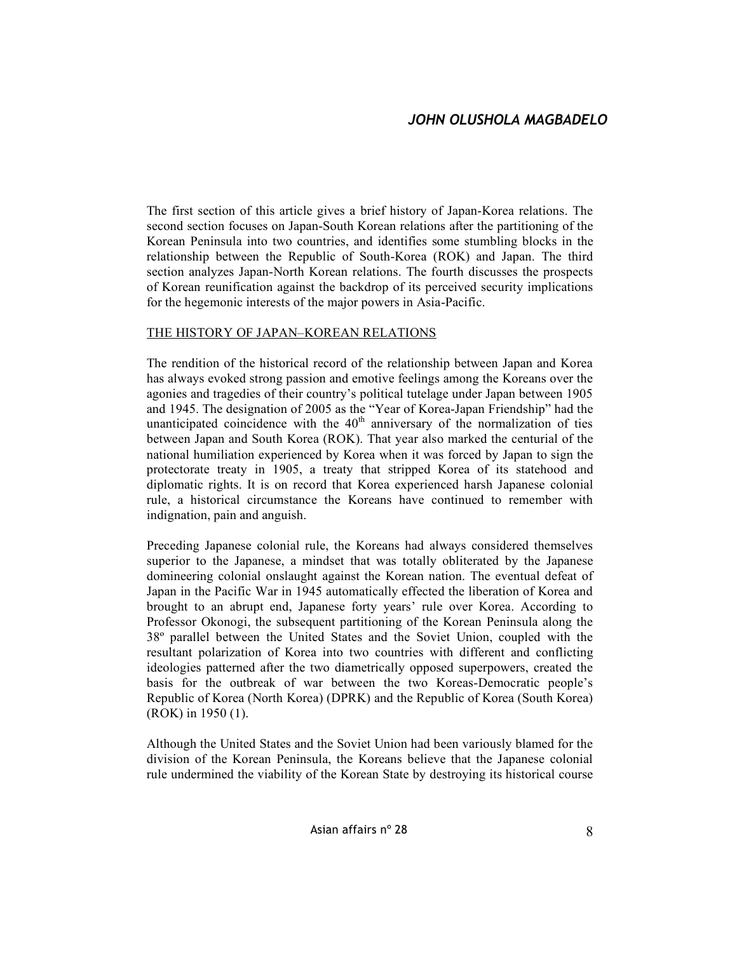The first section of this article gives a brief history of Japan-Korea relations. The second section focuses on Japan-South Korean relations after the partitioning of the Korean Peninsula into two countries, and identifies some stumbling blocks in the relationship between the Republic of South-Korea (ROK) and Japan. The third section analyzes Japan-North Korean relations. The fourth discusses the prospects of Korean reunification against the backdrop of its perceived security implications for the hegemonic interests of the major powers in Asia-Pacific.

### THE HISTORY OF JAPAN–KOREAN RELATIONS

The rendition of the historical record of the relationship between Japan and Korea has always evoked strong passion and emotive feelings among the Koreans over the agonies and tragedies of their country's political tutelage under Japan between 1905 and 1945. The designation of 2005 as the "Year of Korea-Japan Friendship" had the unanticipated coincidence with the  $40<sup>th</sup>$  anniversary of the normalization of ties between Japan and South Korea (ROK). That year also marked the centurial of the national humiliation experienced by Korea when it was forced by Japan to sign the protectorate treaty in 1905, a treaty that stripped Korea of its statehood and diplomatic rights. It is on record that Korea experienced harsh Japanese colonial rule, a historical circumstance the Koreans have continued to remember with indignation, pain and anguish.

Preceding Japanese colonial rule, the Koreans had always considered themselves superior to the Japanese, a mindset that was totally obliterated by the Japanese domineering colonial onslaught against the Korean nation. The eventual defeat of Japan in the Pacific War in 1945 automatically effected the liberation of Korea and brought to an abrupt end, Japanese forty years' rule over Korea. According to Professor Okonogi, the subsequent partitioning of the Korean Peninsula along the 38º parallel between the United States and the Soviet Union, coupled with the resultant polarization of Korea into two countries with different and conflicting ideologies patterned after the two diametrically opposed superpowers, created the basis for the outbreak of war between the two Koreas-Democratic people's Republic of Korea (North Korea) (DPRK) and the Republic of Korea (South Korea) (ROK) in 1950 (1).

Although the United States and the Soviet Union had been variously blamed for the division of the Korean Peninsula, the Koreans believe that the Japanese colonial rule undermined the viability of the Korean State by destroying its historical course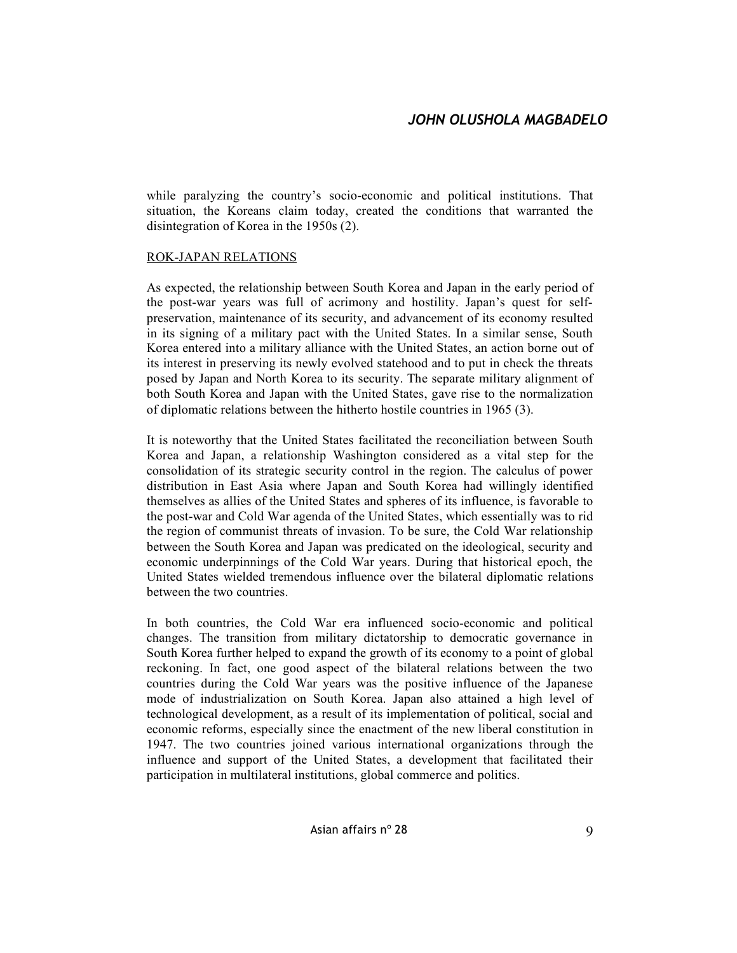while paralyzing the country's socio-economic and political institutions. That situation, the Koreans claim today, created the conditions that warranted the disintegration of Korea in the 1950s (2).

### ROK-JAPAN RELATIONS

As expected, the relationship between South Korea and Japan in the early period of the post-war years was full of acrimony and hostility. Japan's quest for selfpreservation, maintenance of its security, and advancement of its economy resulted in its signing of a military pact with the United States. In a similar sense, South Korea entered into a military alliance with the United States, an action borne out of its interest in preserving its newly evolved statehood and to put in check the threats posed by Japan and North Korea to its security. The separate military alignment of both South Korea and Japan with the United States, gave rise to the normalization of diplomatic relations between the hitherto hostile countries in 1965 (3).

It is noteworthy that the United States facilitated the reconciliation between South Korea and Japan, a relationship Washington considered as a vital step for the consolidation of its strategic security control in the region. The calculus of power distribution in East Asia where Japan and South Korea had willingly identified themselves as allies of the United States and spheres of its influence, is favorable to the post-war and Cold War agenda of the United States, which essentially was to rid the region of communist threats of invasion. To be sure, the Cold War relationship between the South Korea and Japan was predicated on the ideological, security and economic underpinnings of the Cold War years. During that historical epoch, the United States wielded tremendous influence over the bilateral diplomatic relations between the two countries.

In both countries, the Cold War era influenced socio-economic and political changes. The transition from military dictatorship to democratic governance in South Korea further helped to expand the growth of its economy to a point of global reckoning. In fact, one good aspect of the bilateral relations between the two countries during the Cold War years was the positive influence of the Japanese mode of industrialization on South Korea. Japan also attained a high level of technological development, as a result of its implementation of political, social and economic reforms, especially since the enactment of the new liberal constitution in 1947. The two countries joined various international organizations through the influence and support of the United States, a development that facilitated their participation in multilateral institutions, global commerce and politics.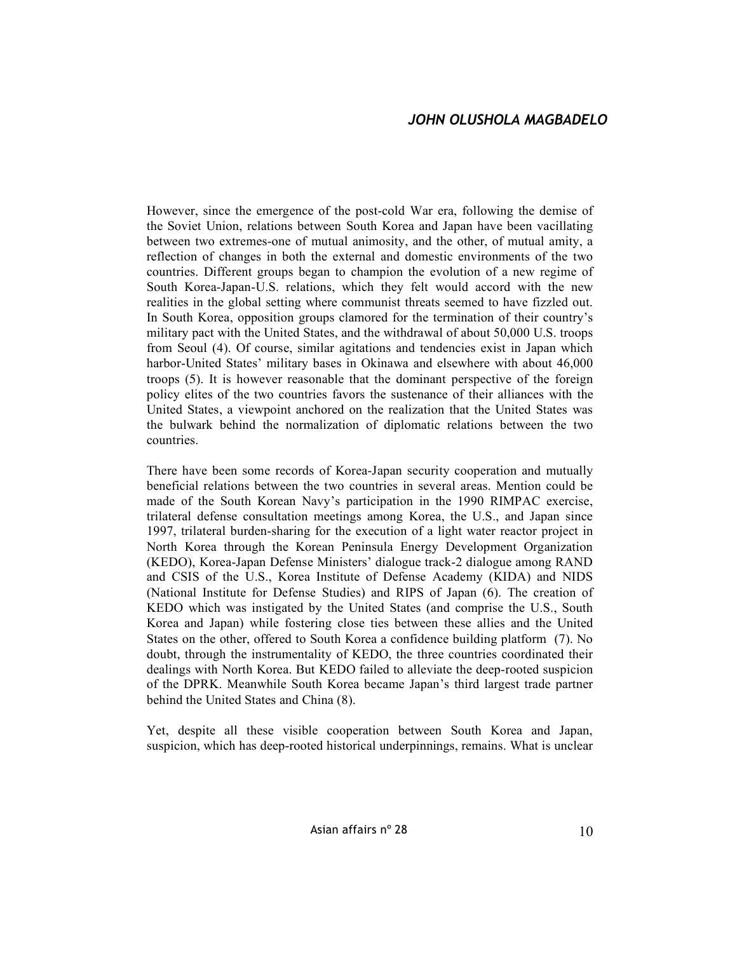However, since the emergence of the post-cold War era, following the demise of the Soviet Union, relations between South Korea and Japan have been vacillating between two extremes-one of mutual animosity, and the other, of mutual amity, a reflection of changes in both the external and domestic environments of the two countries. Different groups began to champion the evolution of a new regime of South Korea-Japan-U.S. relations, which they felt would accord with the new realities in the global setting where communist threats seemed to have fizzled out. In South Korea, opposition groups clamored for the termination of their country's military pact with the United States, and the withdrawal of about 50,000 U.S. troops from Seoul (4). Of course, similar agitations and tendencies exist in Japan which harbor-United States' military bases in Okinawa and elsewhere with about 46,000 troops (5). It is however reasonable that the dominant perspective of the foreign policy elites of the two countries favors the sustenance of their alliances with the United States, a viewpoint anchored on the realization that the United States was the bulwark behind the normalization of diplomatic relations between the two countries.

There have been some records of Korea-Japan security cooperation and mutually beneficial relations between the two countries in several areas. Mention could be made of the South Korean Navy's participation in the 1990 RIMPAC exercise, trilateral defense consultation meetings among Korea, the U.S., and Japan since 1997, trilateral burden-sharing for the execution of a light water reactor project in North Korea through the Korean Peninsula Energy Development Organization (KEDO), Korea-Japan Defense Ministers' dialogue track-2 dialogue among RAND and CSIS of the U.S., Korea Institute of Defense Academy (KIDA) and NIDS (National Institute for Defense Studies) and RIPS of Japan (6). The creation of KEDO which was instigated by the United States (and comprise the U.S., South Korea and Japan) while fostering close ties between these allies and the United States on the other, offered to South Korea a confidence building platform (7). No doubt, through the instrumentality of KEDO, the three countries coordinated their dealings with North Korea. But KEDO failed to alleviate the deep-rooted suspicion of the DPRK. Meanwhile South Korea became Japan's third largest trade partner behind the United States and China (8).

Yet, despite all these visible cooperation between South Korea and Japan, suspicion, which has deep-rooted historical underpinnings, remains. What is unclear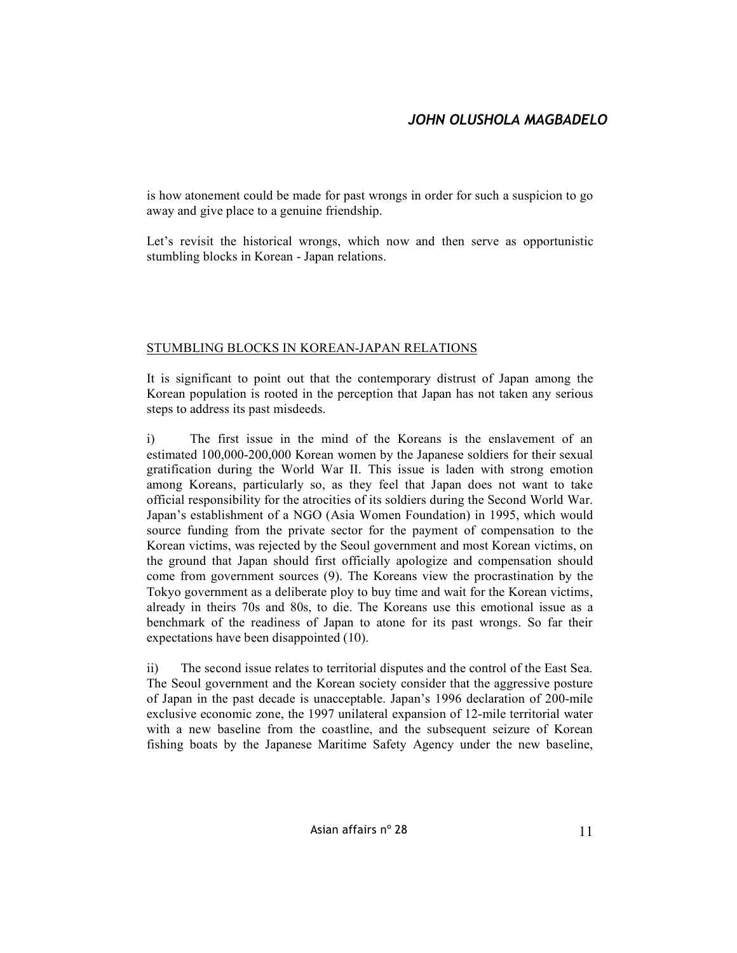is how atonement could be made for past wrongs in order for such a suspicion to go away and give place to a genuine friendship.

Let's revisit the historical wrongs, which now and then serve as opportunistic stumbling blocks in Korean - Japan relations.

## STUMBLING BLOCKS IN KOREAN-JAPAN RELATIONS

It is significant to point out that the contemporary distrust of Japan among the Korean population is rooted in the perception that Japan has not taken any serious steps to address its past misdeeds.

i) The first issue in the mind of the Koreans is the enslavement of an estimated 100,000-200,000 Korean women by the Japanese soldiers for their sexual gratification during the World War II. This issue is laden with strong emotion among Koreans, particularly so, as they feel that Japan does not want to take official responsibility for the atrocities of its soldiers during the Second World War. Japan's establishment of a NGO (Asia Women Foundation) in 1995, which would source funding from the private sector for the payment of compensation to the Korean victims, was rejected by the Seoul government and most Korean victims, on the ground that Japan should first officially apologize and compensation should come from government sources (9). The Koreans view the procrastination by the Tokyo government as a deliberate ploy to buy time and wait for the Korean victims, already in theirs 70s and 80s, to die. The Koreans use this emotional issue as a benchmark of the readiness of Japan to atone for its past wrongs. So far their expectations have been disappointed (10).

ii) The second issue relates to territorial disputes and the control of the East Sea. The Seoul government and the Korean society consider that the aggressive posture of Japan in the past decade is unacceptable. Japan's 1996 declaration of 200-mile exclusive economic zone, the 1997 unilateral expansion of 12-mile territorial water with a new baseline from the coastline, and the subsequent seizure of Korean fishing boats by the Japanese Maritime Safety Agency under the new baseline,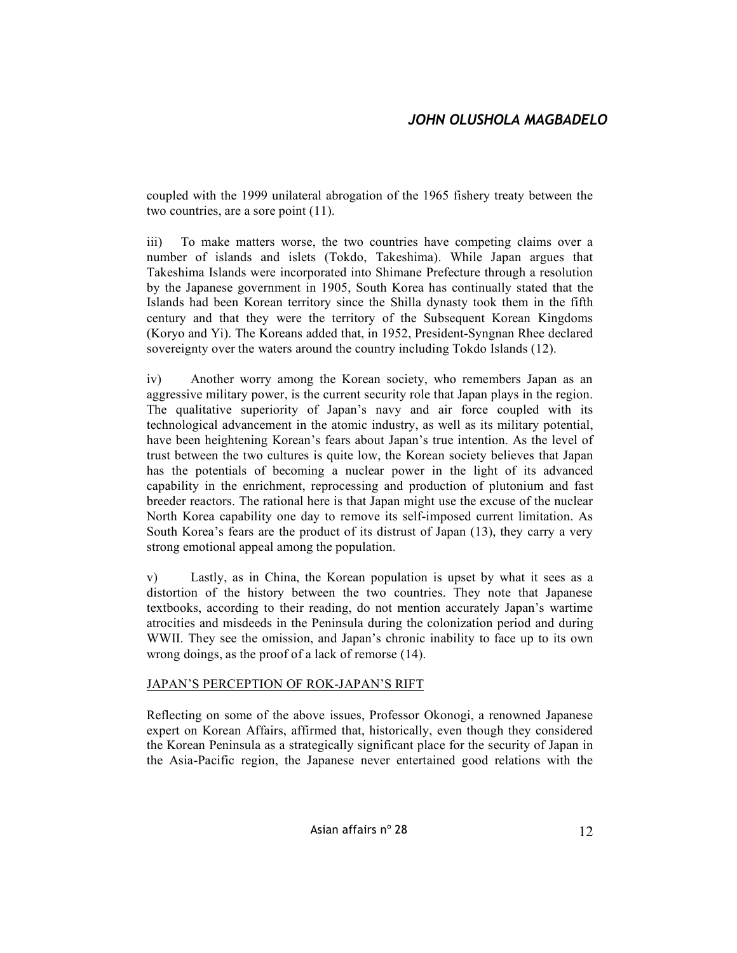coupled with the 1999 unilateral abrogation of the 1965 fishery treaty between the two countries, are a sore point (11).

iii) To make matters worse, the two countries have competing claims over a number of islands and islets (Tokdo, Takeshima). While Japan argues that Takeshima Islands were incorporated into Shimane Prefecture through a resolution by the Japanese government in 1905, South Korea has continually stated that the Islands had been Korean territory since the Shilla dynasty took them in the fifth century and that they were the territory of the Subsequent Korean Kingdoms (Koryo and Yi). The Koreans added that, in 1952, President-Syngnan Rhee declared sovereignty over the waters around the country including Tokdo Islands (12).

iv) Another worry among the Korean society, who remembers Japan as an aggressive military power, is the current security role that Japan plays in the region. The qualitative superiority of Japan's navy and air force coupled with its technological advancement in the atomic industry, as well as its military potential, have been heightening Korean's fears about Japan's true intention. As the level of trust between the two cultures is quite low, the Korean society believes that Japan has the potentials of becoming a nuclear power in the light of its advanced capability in the enrichment, reprocessing and production of plutonium and fast breeder reactors. The rational here is that Japan might use the excuse of the nuclear North Korea capability one day to remove its self-imposed current limitation. As South Korea's fears are the product of its distrust of Japan (13), they carry a very strong emotional appeal among the population.

v) Lastly, as in China, the Korean population is upset by what it sees as a distortion of the history between the two countries. They note that Japanese textbooks, according to their reading, do not mention accurately Japan's wartime atrocities and misdeeds in the Peninsula during the colonization period and during WWII. They see the omission, and Japan's chronic inability to face up to its own wrong doings, as the proof of a lack of remorse (14).

### JAPAN'S PERCEPTION OF ROK-JAPAN'S RIFT

Reflecting on some of the above issues, Professor Okonogi, a renowned Japanese expert on Korean Affairs, affirmed that, historically, even though they considered the Korean Peninsula as a strategically significant place for the security of Japan in the Asia-Pacific region, the Japanese never entertained good relations with the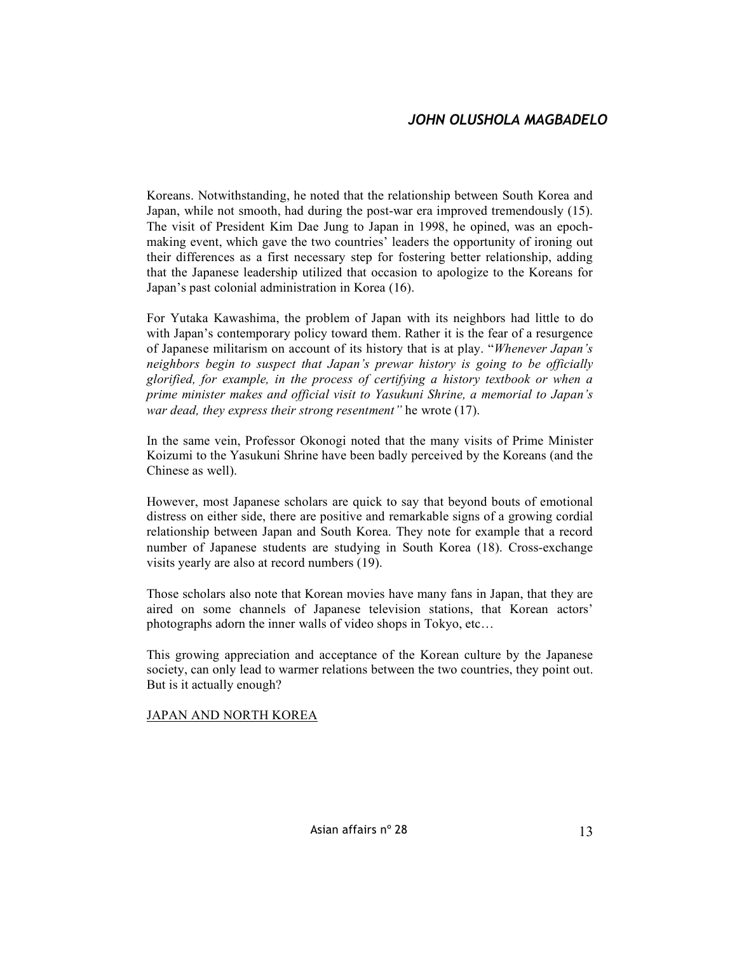# *JOHN OLUSHOLA MAGBADELO*

Koreans. Notwithstanding, he noted that the relationship between South Korea and Japan, while not smooth, had during the post-war era improved tremendously (15). The visit of President Kim Dae Jung to Japan in 1998, he opined, was an epochmaking event, which gave the two countries' leaders the opportunity of ironing out their differences as a first necessary step for fostering better relationship, adding that the Japanese leadership utilized that occasion to apologize to the Koreans for Japan's past colonial administration in Korea (16).

For Yutaka Kawashima, the problem of Japan with its neighbors had little to do with Japan's contemporary policy toward them. Rather it is the fear of a resurgence of Japanese militarism on account of its history that is at play. "*Whenever Japan's neighbors begin to suspect that Japan's prewar history is going to be officially glorified, for example, in the process of certifying a history textbook or when a prime minister makes and official visit to Yasukuni Shrine, a memorial to Japan's war dead, they express their strong resentment"* he wrote (17).

In the same vein, Professor Okonogi noted that the many visits of Prime Minister Koizumi to the Yasukuni Shrine have been badly perceived by the Koreans (and the Chinese as well).

However, most Japanese scholars are quick to say that beyond bouts of emotional distress on either side, there are positive and remarkable signs of a growing cordial relationship between Japan and South Korea. They note for example that a record number of Japanese students are studying in South Korea (18). Cross-exchange visits yearly are also at record numbers (19).

Those scholars also note that Korean movies have many fans in Japan, that they are aired on some channels of Japanese television stations, that Korean actors' photographs adorn the inner walls of video shops in Tokyo, etc…

This growing appreciation and acceptance of the Korean culture by the Japanese society, can only lead to warmer relations between the two countries, they point out. But is it actually enough?

### JAPAN AND NORTH KOREA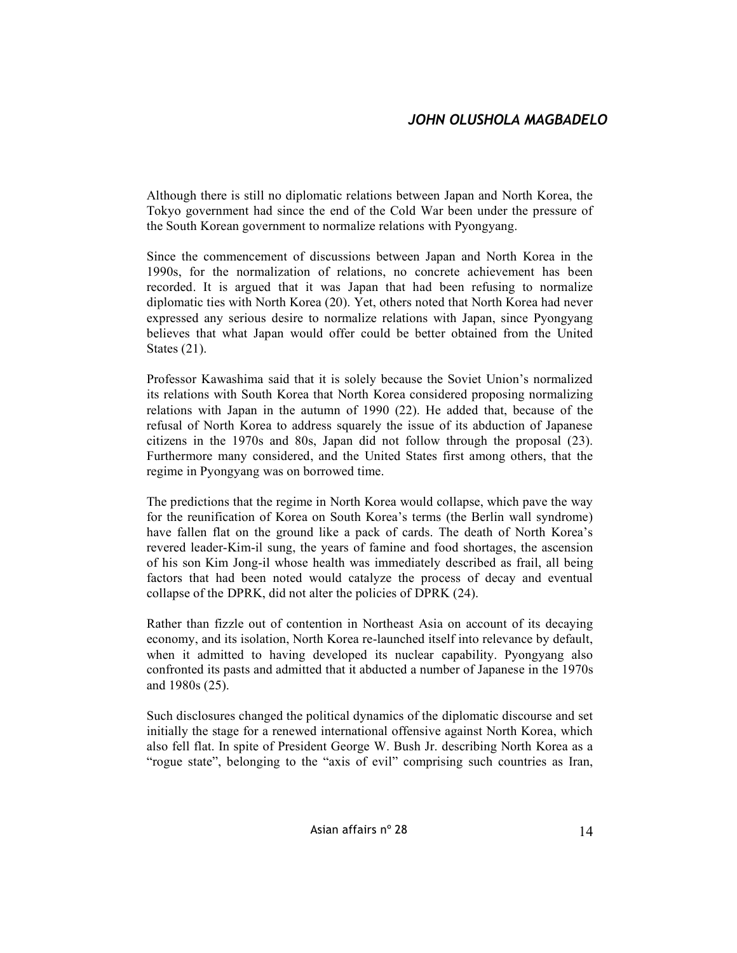Although there is still no diplomatic relations between Japan and North Korea, the Tokyo government had since the end of the Cold War been under the pressure of the South Korean government to normalize relations with Pyongyang.

Since the commencement of discussions between Japan and North Korea in the 1990s, for the normalization of relations, no concrete achievement has been recorded. It is argued that it was Japan that had been refusing to normalize diplomatic ties with North Korea (20). Yet, others noted that North Korea had never expressed any serious desire to normalize relations with Japan, since Pyongyang believes that what Japan would offer could be better obtained from the United States (21).

Professor Kawashima said that it is solely because the Soviet Union's normalized its relations with South Korea that North Korea considered proposing normalizing relations with Japan in the autumn of 1990 (22). He added that, because of the refusal of North Korea to address squarely the issue of its abduction of Japanese citizens in the 1970s and 80s, Japan did not follow through the proposal (23). Furthermore many considered, and the United States first among others, that the regime in Pyongyang was on borrowed time.

The predictions that the regime in North Korea would collapse, which pave the way for the reunification of Korea on South Korea's terms (the Berlin wall syndrome) have fallen flat on the ground like a pack of cards. The death of North Korea's revered leader-Kim-il sung, the years of famine and food shortages, the ascension of his son Kim Jong-il whose health was immediately described as frail, all being factors that had been noted would catalyze the process of decay and eventual collapse of the DPRK, did not alter the policies of DPRK (24).

Rather than fizzle out of contention in Northeast Asia on account of its decaying economy, and its isolation, North Korea re-launched itself into relevance by default, when it admitted to having developed its nuclear capability. Pyongyang also confronted its pasts and admitted that it abducted a number of Japanese in the 1970s and 1980s (25).

Such disclosures changed the political dynamics of the diplomatic discourse and set initially the stage for a renewed international offensive against North Korea, which also fell flat. In spite of President George W. Bush Jr. describing North Korea as a "rogue state", belonging to the "axis of evil" comprising such countries as Iran,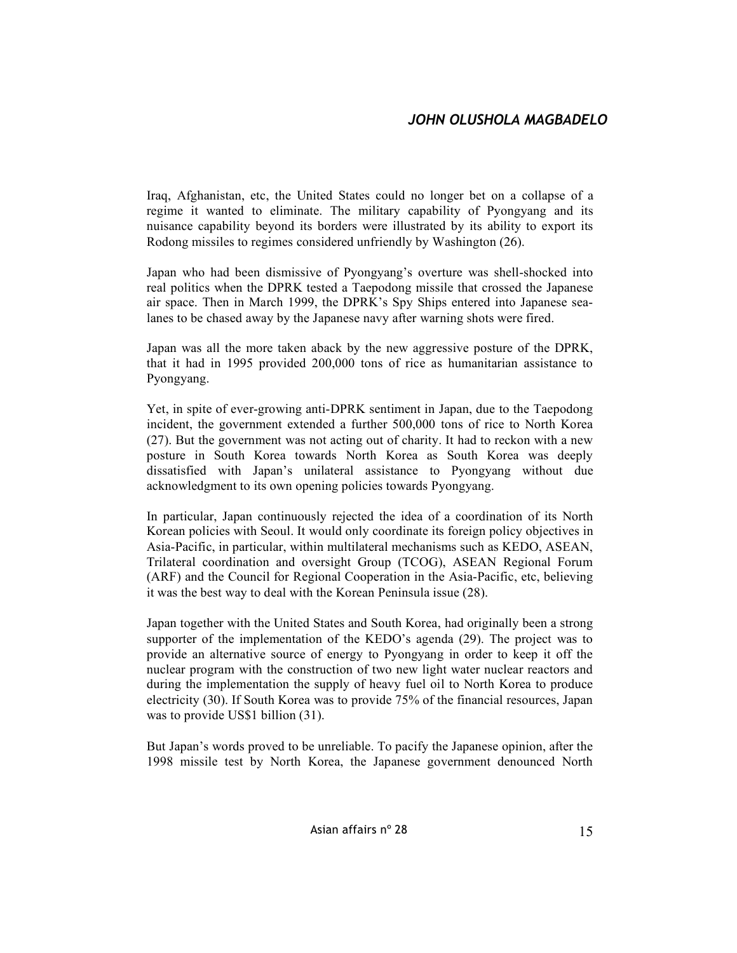Iraq, Afghanistan, etc, the United States could no longer bet on a collapse of a regime it wanted to eliminate. The military capability of Pyongyang and its nuisance capability beyond its borders were illustrated by its ability to export its Rodong missiles to regimes considered unfriendly by Washington (26).

Japan who had been dismissive of Pyongyang's overture was shell-shocked into real politics when the DPRK tested a Taepodong missile that crossed the Japanese air space. Then in March 1999, the DPRK's Spy Ships entered into Japanese sealanes to be chased away by the Japanese navy after warning shots were fired.

Japan was all the more taken aback by the new aggressive posture of the DPRK, that it had in 1995 provided 200,000 tons of rice as humanitarian assistance to Pyongyang.

Yet, in spite of ever-growing anti-DPRK sentiment in Japan, due to the Taepodong incident, the government extended a further 500,000 tons of rice to North Korea (27). But the government was not acting out of charity. It had to reckon with a new posture in South Korea towards North Korea as South Korea was deeply dissatisfied with Japan's unilateral assistance to Pyongyang without due acknowledgment to its own opening policies towards Pyongyang.

In particular, Japan continuously rejected the idea of a coordination of its North Korean policies with Seoul. It would only coordinate its foreign policy objectives in Asia-Pacific, in particular, within multilateral mechanisms such as KEDO, ASEAN, Trilateral coordination and oversight Group (TCOG), ASEAN Regional Forum (ARF) and the Council for Regional Cooperation in the Asia-Pacific, etc, believing it was the best way to deal with the Korean Peninsula issue (28).

Japan together with the United States and South Korea, had originally been a strong supporter of the implementation of the KEDO's agenda (29). The project was to provide an alternative source of energy to Pyongyang in order to keep it off the nuclear program with the construction of two new light water nuclear reactors and during the implementation the supply of heavy fuel oil to North Korea to produce electricity (30). If South Korea was to provide 75% of the financial resources, Japan was to provide US\$1 billion (31).

But Japan's words proved to be unreliable. To pacify the Japanese opinion, after the 1998 missile test by North Korea, the Japanese government denounced North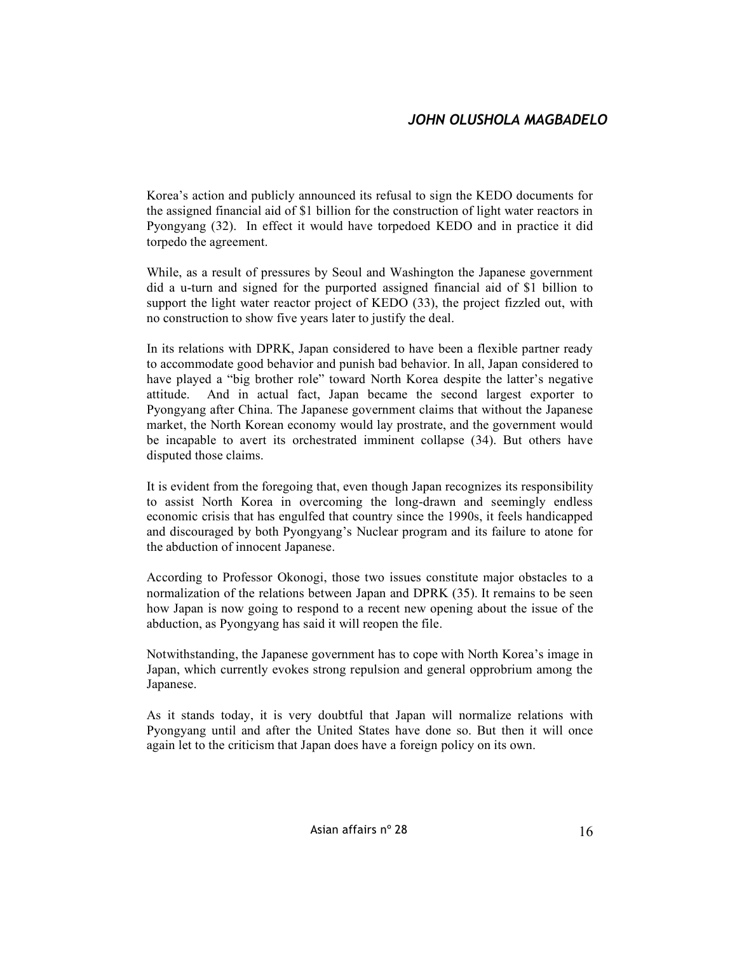Korea's action and publicly announced its refusal to sign the KEDO documents for the assigned financial aid of \$1 billion for the construction of light water reactors in Pyongyang (32). In effect it would have torpedoed KEDO and in practice it did torpedo the agreement.

While, as a result of pressures by Seoul and Washington the Japanese government did a u-turn and signed for the purported assigned financial aid of \$1 billion to support the light water reactor project of KEDO (33), the project fizzled out, with no construction to show five years later to justify the deal.

In its relations with DPRK, Japan considered to have been a flexible partner ready to accommodate good behavior and punish bad behavior. In all, Japan considered to have played a "big brother role" toward North Korea despite the latter's negative attitude. And in actual fact, Japan became the second largest exporter to Pyongyang after China. The Japanese government claims that without the Japanese market, the North Korean economy would lay prostrate, and the government would be incapable to avert its orchestrated imminent collapse (34). But others have disputed those claims.

It is evident from the foregoing that, even though Japan recognizes its responsibility to assist North Korea in overcoming the long-drawn and seemingly endless economic crisis that has engulfed that country since the 1990s, it feels handicapped and discouraged by both Pyongyang's Nuclear program and its failure to atone for the abduction of innocent Japanese.

According to Professor Okonogi, those two issues constitute major obstacles to a normalization of the relations between Japan and DPRK (35). It remains to be seen how Japan is now going to respond to a recent new opening about the issue of the abduction, as Pyongyang has said it will reopen the file.

Notwithstanding, the Japanese government has to cope with North Korea's image in Japan, which currently evokes strong repulsion and general opprobrium among the Japanese.

As it stands today, it is very doubtful that Japan will normalize relations with Pyongyang until and after the United States have done so. But then it will once again let to the criticism that Japan does have a foreign policy on its own.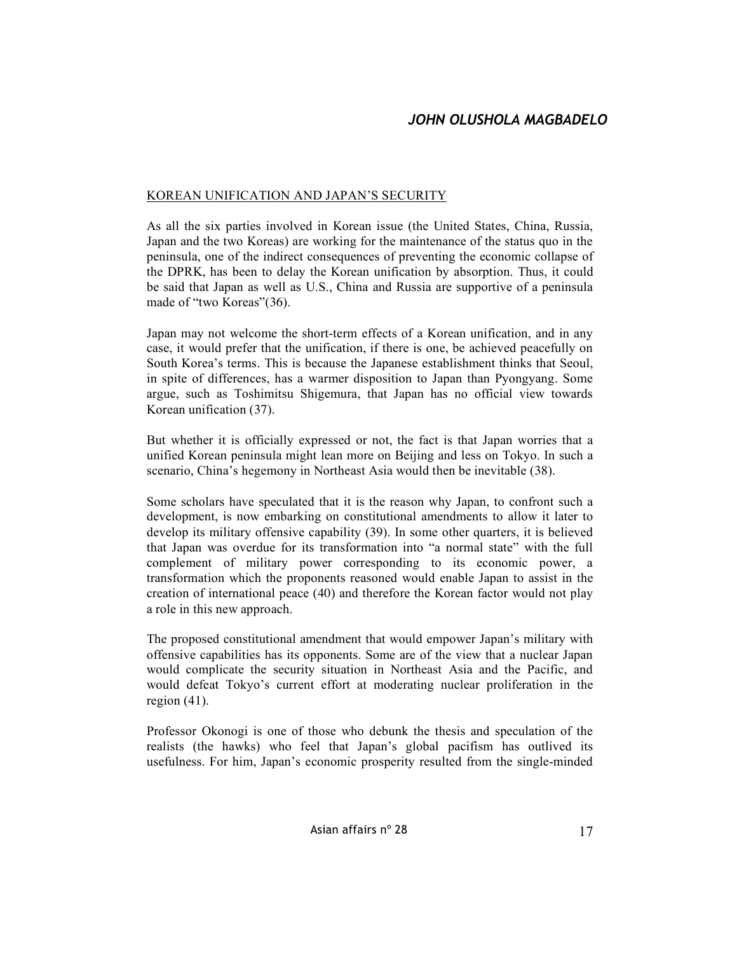### KOREAN UNIFICATION AND JAPAN'S SECURITY

As all the six parties involved in Korean issue (the United States, China, Russia, Japan and the two Koreas) are working for the maintenance of the status quo in the peninsula, one of the indirect consequences of preventing the economic collapse of the DPRK, has been to delay the Korean unification by absorption. Thus, it could be said that Japan as well as U.S., China and Russia are supportive of a peninsula made of "two Koreas"(36).

Japan may not welcome the short-term effects of a Korean unification, and in any case, it would prefer that the unification, if there is one, be achieved peacefully on South Korea's terms. This is because the Japanese establishment thinks that Seoul, in spite of differences, has a warmer disposition to Japan than Pyongyang. Some argue, such as Toshimitsu Shigemura, that Japan has no official view towards Korean unification (37).

But whether it is officially expressed or not, the fact is that Japan worries that a unified Korean peninsula might lean more on Beijing and less on Tokyo. In such a scenario, China's hegemony in Northeast Asia would then be inevitable (38).

Some scholars have speculated that it is the reason why Japan, to confront such a development, is now embarking on constitutional amendments to allow it later to develop its military offensive capability (39). In some other quarters, it is believed that Japan was overdue for its transformation into "a normal state" with the full complement of military power corresponding to its economic power, a transformation which the proponents reasoned would enable Japan to assist in the creation of international peace (40) and therefore the Korean factor would not play a role in this new approach.

The proposed constitutional amendment that would empower Japan's military with offensive capabilities has its opponents. Some are of the view that a nuclear Japan would complicate the security situation in Northeast Asia and the Pacific, and would defeat Tokyo's current effort at moderating nuclear proliferation in the region  $(41)$ .

Professor Okonogi is one of those who debunk the thesis and speculation of the realists (the hawks) who feel that Japan's global pacifism has outlived its usefulness. For him, Japan's economic prosperity resulted from the single-minded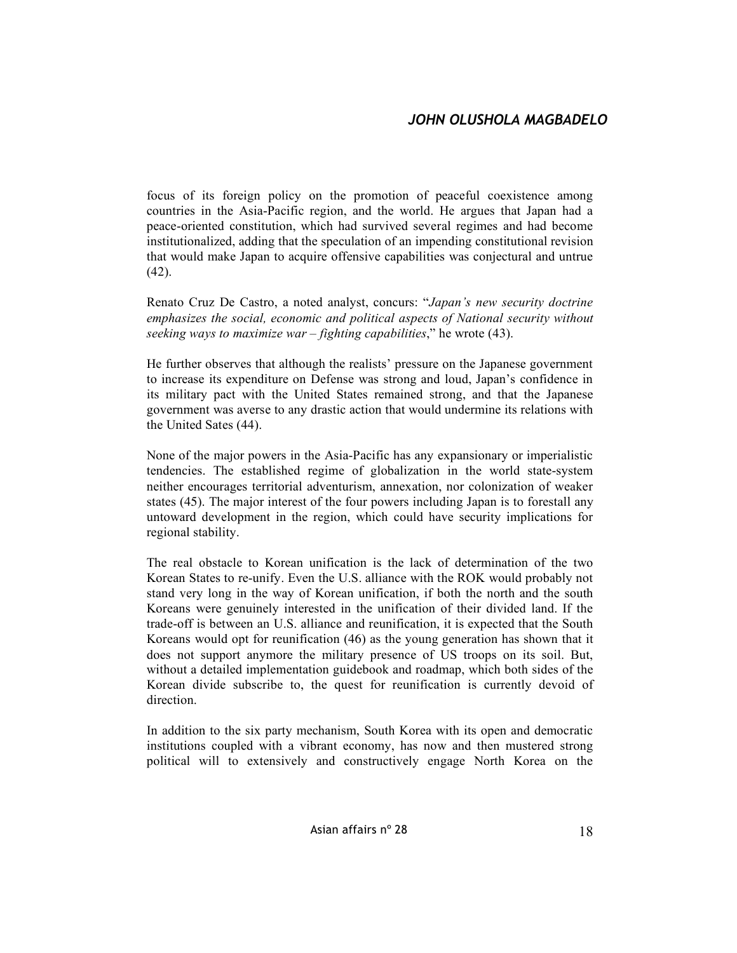focus of its foreign policy on the promotion of peaceful coexistence among countries in the Asia-Pacific region, and the world. He argues that Japan had a peace-oriented constitution, which had survived several regimes and had become institutionalized, adding that the speculation of an impending constitutional revision that would make Japan to acquire offensive capabilities was conjectural and untrue (42).

Renato Cruz De Castro, a noted analyst, concurs: "*Japan's new security doctrine emphasizes the social, economic and political aspects of National security without seeking ways to maximize war – fighting capabilities*," he wrote (43).

He further observes that although the realists' pressure on the Japanese government to increase its expenditure on Defense was strong and loud, Japan's confidence in its military pact with the United States remained strong, and that the Japanese government was averse to any drastic action that would undermine its relations with the United Sates (44).

None of the major powers in the Asia-Pacific has any expansionary or imperialistic tendencies. The established regime of globalization in the world state-system neither encourages territorial adventurism, annexation, nor colonization of weaker states (45). The major interest of the four powers including Japan is to forestall any untoward development in the region, which could have security implications for regional stability.

The real obstacle to Korean unification is the lack of determination of the two Korean States to re-unify. Even the U.S. alliance with the ROK would probably not stand very long in the way of Korean unification, if both the north and the south Koreans were genuinely interested in the unification of their divided land. If the trade-off is between an U.S. alliance and reunification, it is expected that the South Koreans would opt for reunification (46) as the young generation has shown that it does not support anymore the military presence of US troops on its soil. But, without a detailed implementation guidebook and roadmap, which both sides of the Korean divide subscribe to, the quest for reunification is currently devoid of direction.

In addition to the six party mechanism, South Korea with its open and democratic institutions coupled with a vibrant economy, has now and then mustered strong political will to extensively and constructively engage North Korea on the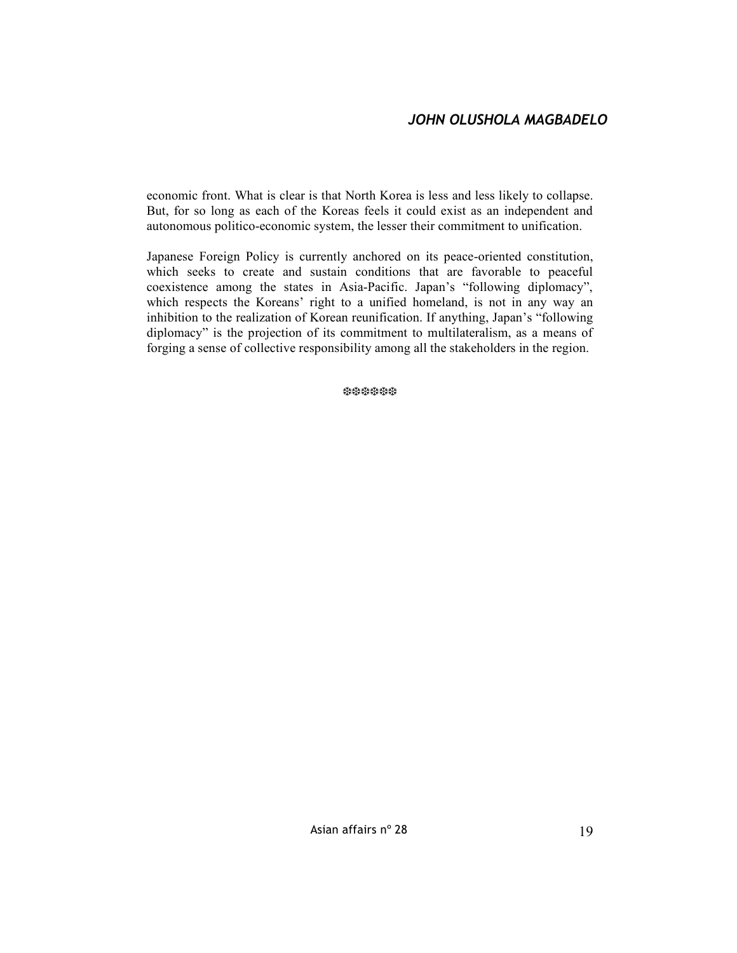economic front. What is clear is that North Korea is less and less likely to collapse. But, for so long as each of the Koreas feels it could exist as an independent and autonomous politico-economic system, the lesser their commitment to unification.

Japanese Foreign Policy is currently anchored on its peace-oriented constitution, which seeks to create and sustain conditions that are favorable to peaceful coexistence among the states in Asia-Pacific. Japan's "following diplomacy", which respects the Koreans' right to a unified homeland, is not in any way an inhibition to the realization of Korean reunification. If anything, Japan's "following diplomacy" is the projection of its commitment to multilateralism, as a means of forging a sense of collective responsibility among all the stakeholders in the region.

❆❆❆❆❆❆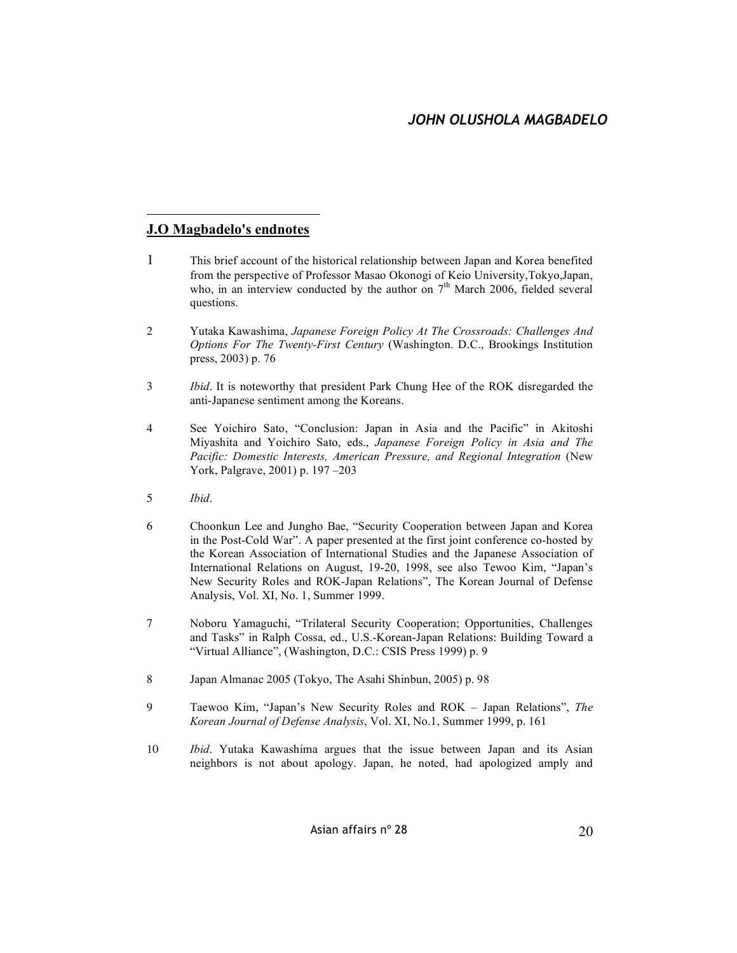## **J.O Magbadelo's endnotes**

 $\overline{a}$ 

- 1 This brief account of the historical relationship between Japan and Korea benefited from the perspective of Professor Masao Okonogi of Keio University,Tokyo,Japan, who, in an interview conducted by the author on  $7<sup>th</sup>$  March 2006, fielded several questions.
- 2 Yutaka Kawashima, *Japanese Foreign Policy At The Crossroads: Challenges And Options For The Twenty-First Century* (Washington. D.C., Brookings Institution press, 2003) p. 76
- 3 *Ibid*. It is noteworthy that president Park Chung Hee of the ROK disregarded the anti-Japanese sentiment among the Koreans.
- 4 See Yoichiro Sato, "Conclusion: Japan in Asia and the Pacific" in Akitoshi Miyashita and Yoichiro Sato, eds., *Japanese Foreign Policy in Asia and The Pacific: Domestic Interests, American Pressure, and Regional Integration* (New York, Palgrave, 2001) p. 197 –203
- 5 *Ibid*.
- 6 Choonkun Lee and Jungho Bae, "Security Cooperation between Japan and Korea in the Post-Cold War". A paper presented at the first joint conference co-hosted by the Korean Association of International Studies and the Japanese Association of International Relations on August, 19-20, 1998, see also Tewoo Kim, "Japan's New Security Roles and ROK-Japan Relations", The Korean Journal of Defense Analysis, Vol. XI, No. 1, Summer 1999.
- 7 Noboru Yamaguchi, "Trilateral Security Cooperation; Opportunities, Challenges and Tasks" in Ralph Cossa, ed., U.S.-Korean-Japan Relations: Building Toward a "Virtual Alliance", (Washington, D.C.: CSIS Press 1999) p. 9
- 8 Japan Almanac 2005 (Tokyo, The Asahi Shinbun, 2005) p. 98
- 9 Taewoo Kim, "Japan's New Security Roles and ROK Japan Relations", *The Korean Journal of Defense Analysis*, Vol. XI, No.1, Summer 1999, p. 161
- 10 *Ibid*. Yutaka Kawashima argues that the issue between Japan and its Asian neighbors is not about apology. Japan, he noted, had apologized amply and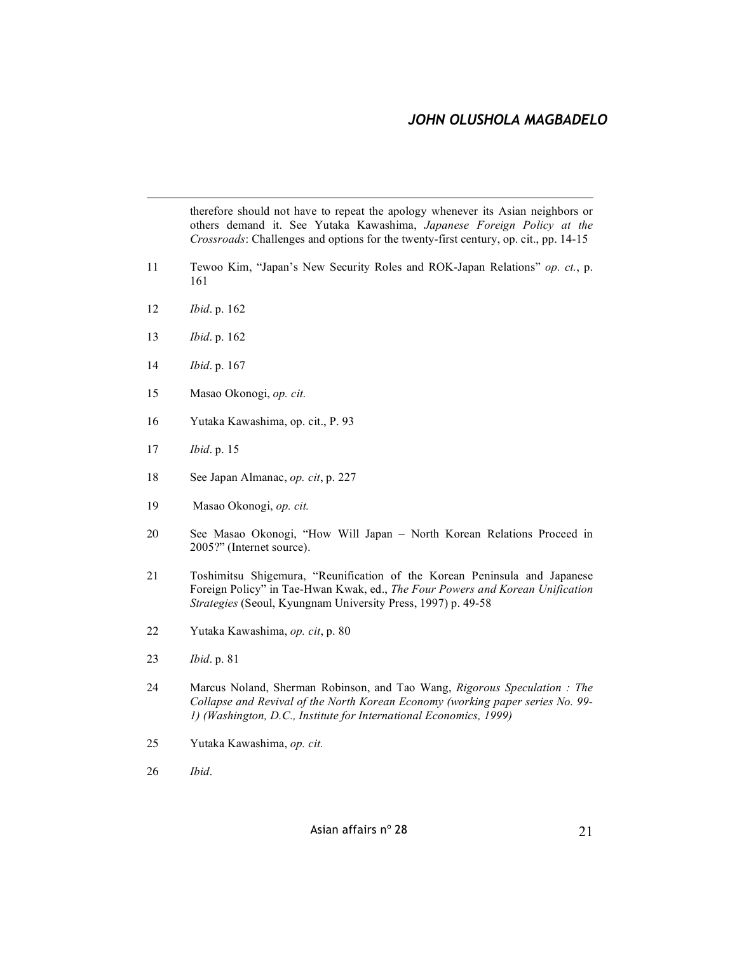therefore should not have to repeat the apology whenever its Asian neighbors or others demand it. See Yutaka Kawashima, *Japanese Foreign Policy at the Crossroads*: Challenges and options for the twenty-first century, op. cit., pp. 14-15

- Tewoo Kim, "Japan's New Security Roles and ROK-Japan Relations" *op. ct.*, p.
- *Ibid*. p. 162
- *Ibid*. p. 162
- *Ibid*. p. 167
- Masao Okonogi, *op. cit.*
- Yutaka Kawashima, op. cit., P. 93
- *Ibid*. p. 15
- See Japan Almanac, *op. cit*, p. 227
- Masao Okonogi, *op. cit.*
- See Masao Okonogi, "How Will Japan North Korean Relations Proceed in 2005?" (Internet source).
- Toshimitsu Shigemura, "Reunification of the Korean Peninsula and Japanese Foreign Policy" in Tae-Hwan Kwak, ed., *The Four Powers and Korean Unification Strategies* (Seoul, Kyungnam University Press, 1997) p. 49-58
- Yutaka Kawashima, *op. cit*, p. 80
- *Ibid*. p. 81
- Marcus Noland, Sherman Robinson, and Tao Wang, *Rigorous Speculation : The Collapse and Revival of the North Korean Economy (working paper series No. 99- 1) (Washington, D.C., Institute for International Economics, 1999)*
- Yutaka Kawashima, *op. cit.*
- *Ibid*.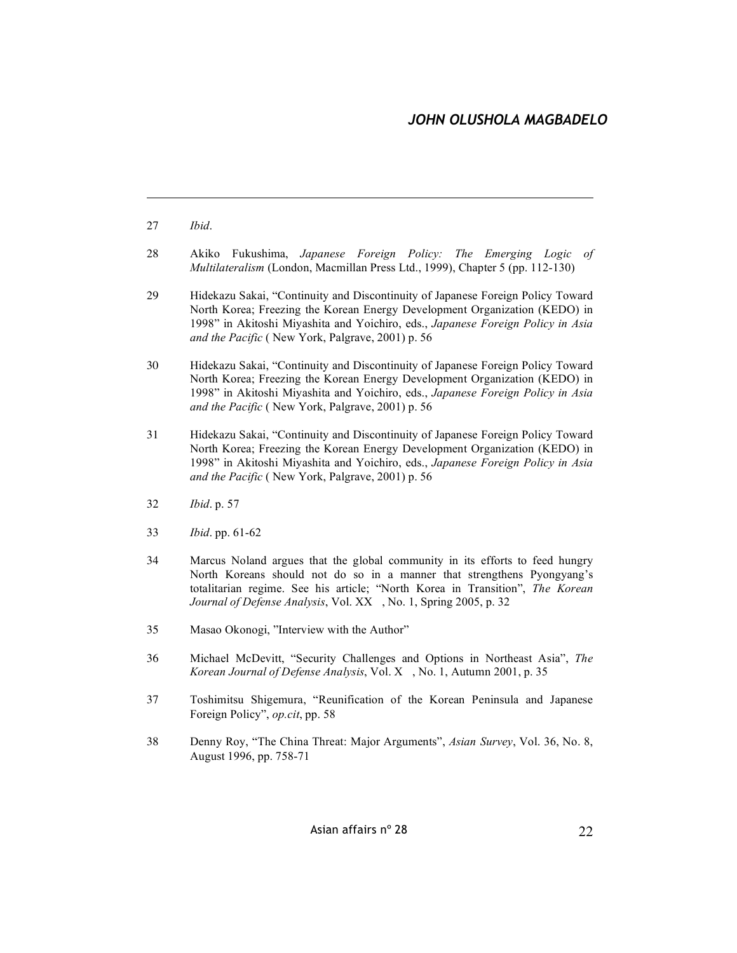$\overline{a}$ 

- 28 Akiko Fukushima, *Japanese Foreign Policy: The Emerging Logic of Multilateralism* (London, Macmillan Press Ltd., 1999), Chapter 5 (pp. 112-130)
- 29 Hidekazu Sakai, "Continuity and Discontinuity of Japanese Foreign Policy Toward North Korea; Freezing the Korean Energy Development Organization (KEDO) in 1998" in Akitoshi Miyashita and Yoichiro, eds., *Japanese Foreign Policy in Asia and the Pacific* ( New York, Palgrave, 2001) p. 56
- 30 Hidekazu Sakai, "Continuity and Discontinuity of Japanese Foreign Policy Toward North Korea; Freezing the Korean Energy Development Organization (KEDO) in 1998" in Akitoshi Miyashita and Yoichiro, eds., *Japanese Foreign Policy in Asia and the Pacific* ( New York, Palgrave, 2001) p. 56
- 31 Hidekazu Sakai, "Continuity and Discontinuity of Japanese Foreign Policy Toward North Korea; Freezing the Korean Energy Development Organization (KEDO) in 1998" in Akitoshi Miyashita and Yoichiro, eds., *Japanese Foreign Policy in Asia and the Pacific* ( New York, Palgrave, 2001) p. 56
- 32 *Ibid*. p. 57
- 33 *Ibid*. pp. 61-62
- 34 Marcus Noland argues that the global community in its efforts to feed hungry North Koreans should not do so in a manner that strengthens Pyongyang's totalitarian regime. See his article; "North Korea in Transition", *The Korean Journal of Defense Analysis*, Vol. XX, No. 1, Spring 2005, p. 32
- 35 Masao Okonogi, "Interview with the Author"
- 36 Michael McDevitt, "Security Challenges and Options in Northeast Asia", *The Korean Journal of Defense Analysis*, Vol. X, No. 1, Autumn 2001, p. 35
- 37 Toshimitsu Shigemura, "Reunification of the Korean Peninsula and Japanese Foreign Policy", *op.cit*, pp. 58
- 38 Denny Roy, "The China Threat: Major Arguments", *Asian Survey*, Vol. 36, No. 8, August 1996, pp. 758-71